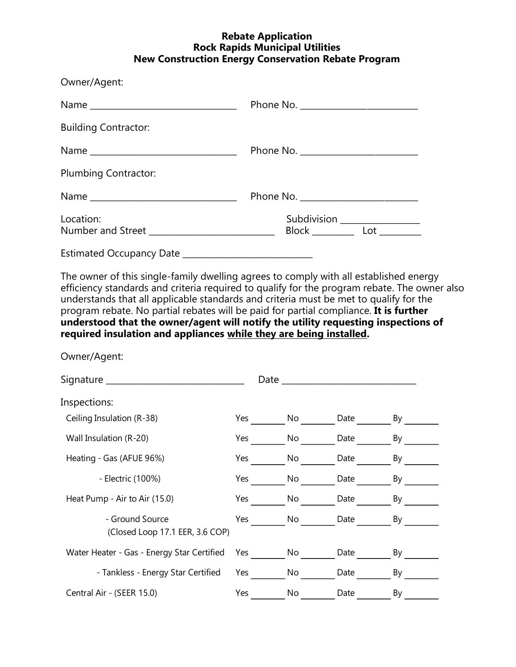## **Rebate Application Rock Rapids Municipal Utilities New Construction Energy Conservation Rebate Program**

| Owner/Agent:                |                                                                   |  |  |
|-----------------------------|-------------------------------------------------------------------|--|--|
|                             |                                                                   |  |  |
| <b>Building Contractor:</b> |                                                                   |  |  |
|                             |                                                                   |  |  |
| Plumbing Contractor:        |                                                                   |  |  |
|                             |                                                                   |  |  |
| Location:                   | Subdivision ________________<br>Block _____________ Lot _________ |  |  |
|                             |                                                                   |  |  |

The owner of this single-family dwelling agrees to comply with all established energy efficiency standards and criteria required to qualify for the program rebate. The owner also understands that all applicable standards and criteria must be met to qualify for the program rebate. No partial rebates will be paid for partial compliance. **It is further understood that the owner/agent will notify the utility requesting inspections of required insulation and appliances while they are being installed.**

Owner/Agent:

| Signature _                                        | Date |    |      |    |
|----------------------------------------------------|------|----|------|----|
| Inspections:                                       |      |    |      |    |
| Ceiling Insulation (R-38)                          | Yes  | No | Date | By |
| Wall Insulation (R-20)                             | Yes  | No | Date | By |
| Heating - Gas (AFUE 96%)                           | Yes  | No | Date | By |
| - Electric (100%)                                  | Yes  | No | Date | By |
| Heat Pump - Air to Air (15.0)                      | Yes  | No | Date | By |
| - Ground Source<br>(Closed Loop 17.1 EER, 3.6 COP) | Yes  | No | Date | By |
| Water Heater - Gas - Energy Star Certified         | Yes  | No | Date | By |
| - Tankless - Energy Star Certified                 | Yes  | No | Date | By |
| Central Air - (SEER 15.0)                          | Yes  | No | Date | By |